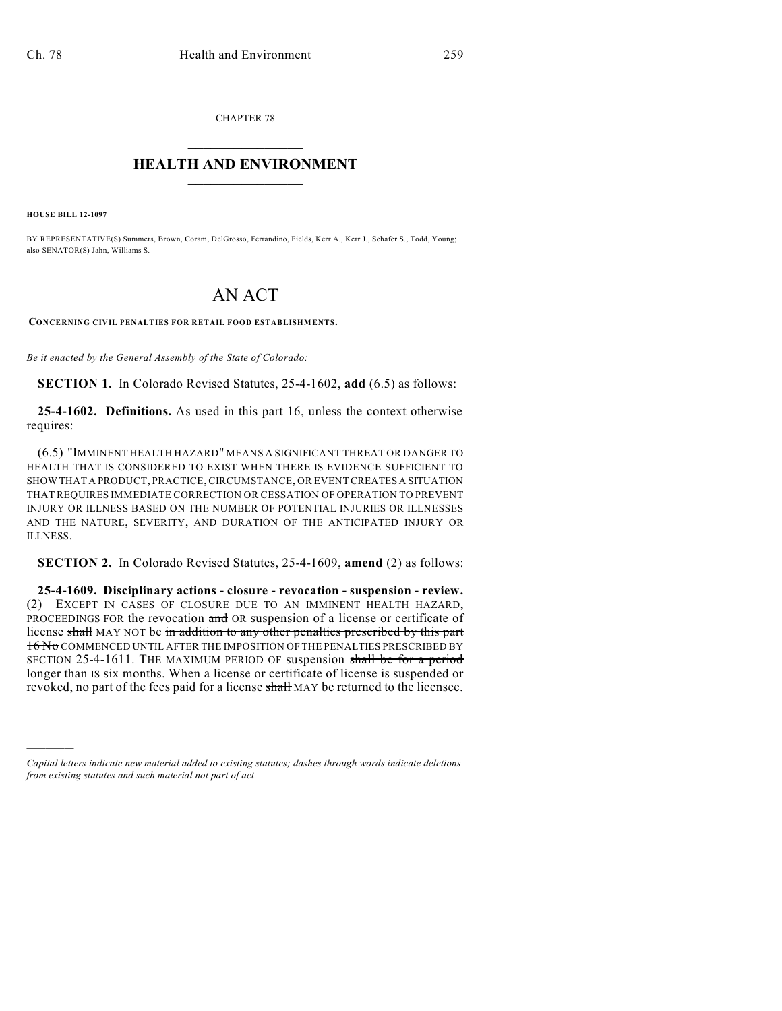CHAPTER 78  $\overline{\phantom{a}}$  . The set of the set of the set of the set of the set of the set of the set of the set of the set of the set of the set of the set of the set of the set of the set of the set of the set of the set of the set o

## **HEALTH AND ENVIRONMENT**  $\_$

**HOUSE BILL 12-1097**

)))))

BY REPRESENTATIVE(S) Summers, Brown, Coram, DelGrosso, Ferrandino, Fields, Kerr A., Kerr J., Schafer S., Todd, Young; also SENATOR(S) Jahn, Williams S.

## AN ACT

**CONCERNING CIVIL PENALTIES FOR RETAIL FOOD ESTABLISHMENTS.**

*Be it enacted by the General Assembly of the State of Colorado:*

**SECTION 1.** In Colorado Revised Statutes, 25-4-1602, **add** (6.5) as follows:

**25-4-1602. Definitions.** As used in this part 16, unless the context otherwise requires:

(6.5) "IMMINENT HEALTH HAZARD" MEANS A SIGNIFICANT THREAT OR DANGER TO HEALTH THAT IS CONSIDERED TO EXIST WHEN THERE IS EVIDENCE SUFFICIENT TO SHOW THAT A PRODUCT, PRACTICE,CIRCUMSTANCE, OR EVENT CREATES A SITUATION THAT REQUIRES IMMEDIATE CORRECTION OR CESSATION OF OPERATION TO PREVENT INJURY OR ILLNESS BASED ON THE NUMBER OF POTENTIAL INJURIES OR ILLNESSES AND THE NATURE, SEVERITY, AND DURATION OF THE ANTICIPATED INJURY OR ILLNESS.

**SECTION 2.** In Colorado Revised Statutes, 25-4-1609, **amend** (2) as follows:

**25-4-1609. Disciplinary actions - closure - revocation - suspension - review.** (2) EXCEPT IN CASES OF CLOSURE DUE TO AN IMMINENT HEALTH HAZARD, PROCEEDINGS FOR the revocation and OR suspension of a license or certificate of license shall MAY NOT be in addition to any other penalties prescribed by this part 16 No COMMENCED UNTIL AFTER THE IMPOSITION OF THE PENALTIES PRESCRIBED BY SECTION 25-4-1611. THE MAXIMUM PERIOD OF suspension shall be for a period longer than IS six months. When a license or certificate of license is suspended or revoked, no part of the fees paid for a license shall MAY be returned to the licensee.

*Capital letters indicate new material added to existing statutes; dashes through words indicate deletions from existing statutes and such material not part of act.*